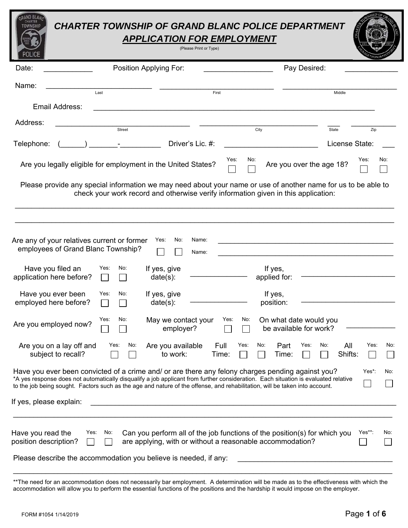# *CHARTER TOWNSHIP OF GRAND BLANC POLICE DEPARTMENT APPLICATION FOR EMPLOYMENT*

| (Please Print or Type |  |  |
|-----------------------|--|--|

| <b>POLICE</b>                                                                                                                                                                                                                                                                                                                                                          |                      | (Please Print or Type)                                                                                                                                                                               |                       |                                                  |                          |               |
|------------------------------------------------------------------------------------------------------------------------------------------------------------------------------------------------------------------------------------------------------------------------------------------------------------------------------------------------------------------------|----------------------|------------------------------------------------------------------------------------------------------------------------------------------------------------------------------------------------------|-----------------------|--------------------------------------------------|--------------------------|---------------|
| Date:                                                                                                                                                                                                                                                                                                                                                                  |                      | Position Applying For:                                                                                                                                                                               |                       | Pay Desired:                                     |                          |               |
| Name:                                                                                                                                                                                                                                                                                                                                                                  | Last                 |                                                                                                                                                                                                      | First                 |                                                  | Middle                   |               |
| <b>Email Address:</b>                                                                                                                                                                                                                                                                                                                                                  |                      |                                                                                                                                                                                                      |                       |                                                  |                          |               |
| Address:                                                                                                                                                                                                                                                                                                                                                               | Street               |                                                                                                                                                                                                      |                       | City                                             | State                    | Zip           |
| Telephone:                                                                                                                                                                                                                                                                                                                                                             | <b>All Contracts</b> | Driver's Lic. #:                                                                                                                                                                                     |                       |                                                  | License State:           |               |
|                                                                                                                                                                                                                                                                                                                                                                        |                      | Are you legally eligible for employment in the United States?                                                                                                                                        | Yes:<br>No:           |                                                  | Are you over the age 18? | Yes:<br>No:   |
|                                                                                                                                                                                                                                                                                                                                                                        |                      | Please provide any special information we may need about your name or use of another name for us to be able to<br>check your work record and otherwise verify information given in this application: |                       |                                                  |                          |               |
| Are any of your relatives current or former<br>employees of Grand Blanc Township?<br>Have you filed an<br>application here before?                                                                                                                                                                                                                                     | No:<br>Yes:          | No:<br>Name:<br>Yes:<br>Name:<br>If yes, give<br>date(s):                                                                                                                                            |                       | If yes,<br>applied for:                          |                          |               |
| Have you ever been<br>employed here before?                                                                                                                                                                                                                                                                                                                            | Yes:<br>No:          | If yes, give<br>$date(s)$ :                                                                                                                                                                          |                       | If yes,<br>position:                             |                          |               |
| Are you employed now?                                                                                                                                                                                                                                                                                                                                                  | Yes:<br>No:          | May we contact your<br>employer?                                                                                                                                                                     | Yes:<br>No:           | On what date would you<br>be available for work? |                          |               |
| Are you on a lay off and<br>subject to recall?                                                                                                                                                                                                                                                                                                                         | No:<br>Yes:          | Are you available<br>to work:                                                                                                                                                                        | Full<br>Yes:<br>Time: | Part Yes:<br>No:<br>Time:                        | No:<br>All<br>Shifts:    | Yes:<br>No:   |
| Have you ever been convicted of a crime and/ or are there any felony charges pending against you?<br>*A yes response does not automatically disqualify a job applicant from further consideration. Each situation is evaluated relative<br>to the job being sought. Factors such as the age and nature of the offense, and rehabilitation, will be taken into account. |                      |                                                                                                                                                                                                      |                       |                                                  |                          | Yes*:<br>No:  |
| If yes, please explain:                                                                                                                                                                                                                                                                                                                                                |                      |                                                                                                                                                                                                      |                       |                                                  |                          |               |
| Have you read the<br>position description?                                                                                                                                                                                                                                                                                                                             | Yes:<br>No:          | Can you perform all of the job functions of the position(s) for which you<br>are applying, with or without a reasonable accommodation?                                                               |                       |                                                  |                          | Yes**:<br>No: |
| Please describe the accommodation you believe is needed, if any:                                                                                                                                                                                                                                                                                                       |                      |                                                                                                                                                                                                      |                       |                                                  |                          |               |

\*\*The need for an accommodation does not necessarily bar employment. A determination will be made as to the effectiveness with which the accommodation will allow you to perform the essential functions of the positions and the hardship it would impose on the employer.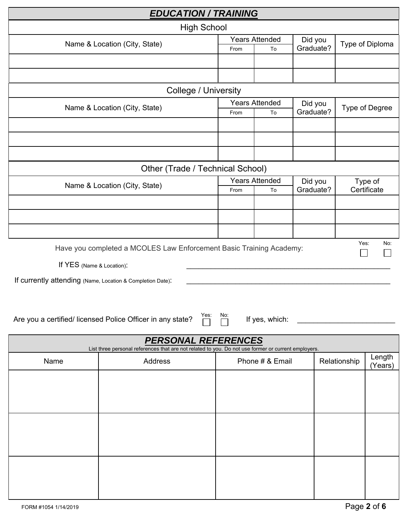| <b>EDUCATION / TRAINING</b>                                |                                                                                                                                   |      |                             |                      |              |                        |
|------------------------------------------------------------|-----------------------------------------------------------------------------------------------------------------------------------|------|-----------------------------|----------------------|--------------|------------------------|
|                                                            | <b>High School</b>                                                                                                                |      |                             |                      |              |                        |
|                                                            | Name & Location (City, State)                                                                                                     |      | <b>Years Attended</b>       | Did you              |              | Type of Diploma        |
|                                                            |                                                                                                                                   | From | To                          | Graduate?            |              |                        |
|                                                            |                                                                                                                                   |      |                             |                      |              |                        |
|                                                            |                                                                                                                                   |      |                             |                      |              |                        |
|                                                            | <b>College / University</b>                                                                                                       |      |                             |                      |              |                        |
|                                                            | Name & Location (City, State)                                                                                                     | From | <b>Years Attended</b><br>To | Did you<br>Graduate? |              | Type of Degree         |
|                                                            |                                                                                                                                   |      |                             |                      |              |                        |
|                                                            |                                                                                                                                   |      |                             |                      |              |                        |
|                                                            |                                                                                                                                   |      |                             |                      |              |                        |
|                                                            |                                                                                                                                   |      |                             |                      |              |                        |
|                                                            | Other (Trade / Technical School)                                                                                                  |      | <b>Years Attended</b>       |                      |              |                        |
|                                                            | Name & Location (City, State)                                                                                                     | From | To                          | Did you<br>Graduate? |              | Type of<br>Certificate |
|                                                            |                                                                                                                                   |      |                             |                      |              |                        |
|                                                            |                                                                                                                                   |      |                             |                      |              |                        |
|                                                            |                                                                                                                                   |      |                             |                      |              |                        |
|                                                            |                                                                                                                                   |      |                             |                      | Yes:         | No:                    |
|                                                            | Have you completed a MCOLES Law Enforcement Basic Training Academy:                                                               |      |                             |                      |              |                        |
| If YES (Name & Location):                                  |                                                                                                                                   |      |                             |                      |              |                        |
| If currently attending (Name, Location & Completion Date): |                                                                                                                                   |      |                             |                      |              |                        |
|                                                            |                                                                                                                                   |      |                             |                      |              |                        |
|                                                            |                                                                                                                                   |      |                             |                      |              |                        |
|                                                            | Yes:<br>Are you a certified/ licensed Police Officer in any state?                                                                | No:  | If yes, which:              |                      |              |                        |
|                                                            |                                                                                                                                   |      |                             |                      |              |                        |
|                                                            | <b>PERSONAL REFERENCES</b><br>List three personal references that are not related to you. Do not use former or current employers. |      |                             |                      |              |                        |
| Name                                                       | Address                                                                                                                           |      | Phone # & Email             |                      | Relationship | Length<br>(Years)      |
|                                                            |                                                                                                                                   |      |                             |                      |              |                        |
|                                                            |                                                                                                                                   |      |                             |                      |              |                        |
|                                                            |                                                                                                                                   |      |                             |                      |              |                        |
|                                                            |                                                                                                                                   |      |                             |                      |              |                        |
|                                                            |                                                                                                                                   |      |                             |                      |              |                        |
|                                                            |                                                                                                                                   |      |                             |                      |              |                        |
|                                                            |                                                                                                                                   |      |                             |                      |              |                        |
|                                                            |                                                                                                                                   |      |                             |                      |              |                        |
|                                                            |                                                                                                                                   |      |                             |                      |              |                        |
|                                                            |                                                                                                                                   |      |                             |                      |              |                        |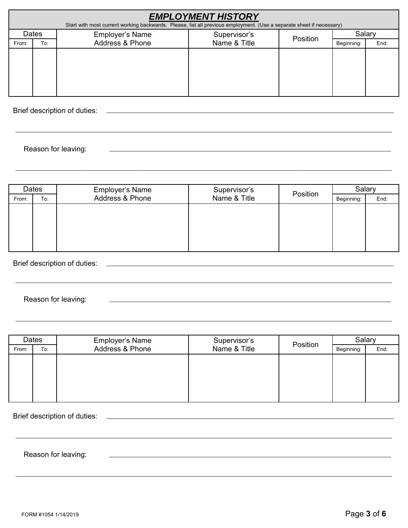| <b>EMPLOYMENT HISTORY</b><br>Start with most current working backwards. Please, list all previous employment. (Use a separate sheet if necessary) |                                                             |                 |              |  |            |      |  |
|---------------------------------------------------------------------------------------------------------------------------------------------------|-------------------------------------------------------------|-----------------|--------------|--|------------|------|--|
|                                                                                                                                                   | Dates<br><b>Employer's Name</b><br>Supervisor's<br>Position |                 |              |  | Salary     |      |  |
| From:                                                                                                                                             | To:                                                         | Address & Phone | Name & Title |  | Beginning: | End: |  |
|                                                                                                                                                   |                                                             |                 |              |  |            |      |  |
|                                                                                                                                                   |                                                             |                 |              |  |            |      |  |
|                                                                                                                                                   |                                                             |                 |              |  |            |      |  |
|                                                                                                                                                   |                                                             |                 |              |  |            |      |  |
|                                                                                                                                                   |                                                             |                 |              |  |            |      |  |

Brief description of duties:

Reason for leaving:

| Dates |     | Employer's Name | Supervisor's |          | <b>Salary</b> |      |
|-------|-----|-----------------|--------------|----------|---------------|------|
| From: | To: | Address & Phone | Name & Title | Position | Beginning:    | End: |
|       |     |                 |              |          |               |      |
|       |     |                 |              |          |               |      |
|       |     |                 |              |          |               |      |
|       |     |                 |              |          |               |      |
|       |     |                 |              |          |               |      |

Brief description of duties:

Reason for leaving:

| Dates |     | <b>Employer's Name</b> | Supervisor's | Position | Salary     |      |
|-------|-----|------------------------|--------------|----------|------------|------|
| From: | To: | Address & Phone        | Name & Title |          | Beginning: | End: |
|       |     |                        |              |          |            |      |
|       |     |                        |              |          |            |      |
|       |     |                        |              |          |            |      |
|       |     |                        |              |          |            |      |
|       |     |                        |              |          |            |      |

Brief description of duties:

Reason for leaving: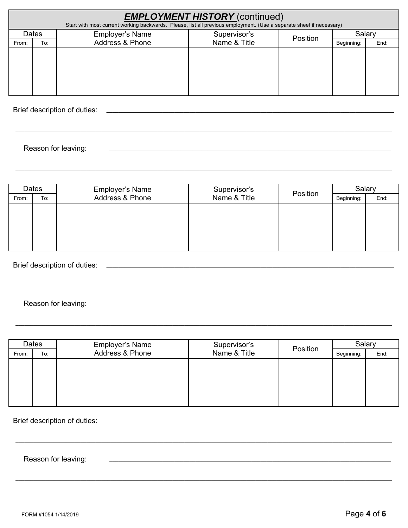| <b>EMPLOYMENT HISTORY</b> (continued)<br>Start with most current working backwards. Please, list all previous employment. (Use a separate sheet if necessary) |                                                             |                 |              |  |            |      |
|---------------------------------------------------------------------------------------------------------------------------------------------------------------|-------------------------------------------------------------|-----------------|--------------|--|------------|------|
|                                                                                                                                                               | Dates<br><b>Employer's Name</b><br>Supervisor's<br>Position |                 |              |  | Salary     |      |
| From:                                                                                                                                                         | To:                                                         | Address & Phone | Name & Title |  | Beginning: | End: |
|                                                                                                                                                               |                                                             |                 |              |  |            |      |
|                                                                                                                                                               |                                                             |                 |              |  |            |      |
|                                                                                                                                                               |                                                             |                 |              |  |            |      |
|                                                                                                                                                               |                                                             |                 |              |  |            |      |
|                                                                                                                                                               |                                                             |                 |              |  |            |      |

Brief description of duties:

Reason for leaving:

| Dates |     | <b>Employer's Name</b> | Supervisor's | Position | Salary     |      |
|-------|-----|------------------------|--------------|----------|------------|------|
| From: | To: | Address & Phone        | Name & Title |          | Beginning: | End: |
|       |     |                        |              |          |            |      |
|       |     |                        |              |          |            |      |
|       |     |                        |              |          |            |      |
|       |     |                        |              |          |            |      |
|       |     |                        |              |          |            |      |

Brief description of duties:

#### Reason for leaving:

| Dates |     | <b>Employer's Name</b> | Supervisor's |          | Salar      |      |
|-------|-----|------------------------|--------------|----------|------------|------|
| From: | To: | Address & Phone        | Name & Title | Position | Beginning: | End: |
|       |     |                        |              |          |            |      |
|       |     |                        |              |          |            |      |
|       |     |                        |              |          |            |      |
|       |     |                        |              |          |            |      |
|       |     |                        |              |          |            |      |

Brief description of duties:

Reason for leaving: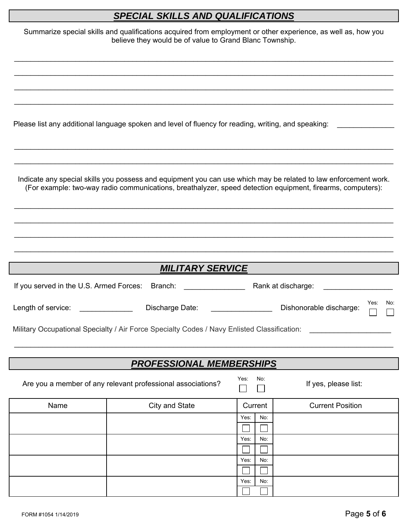## *SPECIAL SKILLS AND QUALIFICATIONS*

|                                         | Summarize special skills and qualifications acquired from employment or other experience, as well as, how you<br>believe they would be of value to Grand Blanc Township.                                                      |             |                                        |
|-----------------------------------------|-------------------------------------------------------------------------------------------------------------------------------------------------------------------------------------------------------------------------------|-------------|----------------------------------------|
|                                         |                                                                                                                                                                                                                               |             |                                        |
|                                         |                                                                                                                                                                                                                               |             |                                        |
|                                         | Please list any additional language spoken and level of fluency for reading, writing, and speaking:                                                                                                                           |             |                                        |
|                                         | Indicate any special skills you possess and equipment you can use which may be related to law enforcement work.<br>(For example: two-way radio communications, breathalyzer, speed detection equipment, firearms, computers): |             |                                        |
|                                         |                                                                                                                                                                                                                               |             |                                        |
|                                         | <b>MILITARY SERVICE</b>                                                                                                                                                                                                       |             |                                        |
| If you served in the U.S. Armed Forces: | Branch:                                                                                                                                                                                                                       |             | Rank at discharge:                     |
| Length of service:                      | Discharge Date:                                                                                                                                                                                                               |             | Yes:<br>No:<br>Dishonorable discharge: |
|                                         | Military Occupational Specialty / Air Force Specialty Codes / Navy Enlisted Classification:                                                                                                                                   |             |                                        |
|                                         | <b>PROFESSIONAL MEMBERSHIPS</b>                                                                                                                                                                                               |             |                                        |
|                                         | Are you a member of any relevant professional associations?                                                                                                                                                                   | No:<br>Yes: | If yes, please list:                   |
| Name                                    | City and State                                                                                                                                                                                                                | Current     | <b>Current Position</b>                |
|                                         |                                                                                                                                                                                                                               | No:<br>Yes: |                                        |
|                                         |                                                                                                                                                                                                                               | No:<br>Yes: |                                        |
|                                         |                                                                                                                                                                                                                               |             |                                        |
|                                         |                                                                                                                                                                                                                               | No:<br>Yes: |                                        |
|                                         |                                                                                                                                                                                                                               | Yes:<br>No: |                                        |
|                                         |                                                                                                                                                                                                                               |             |                                        |